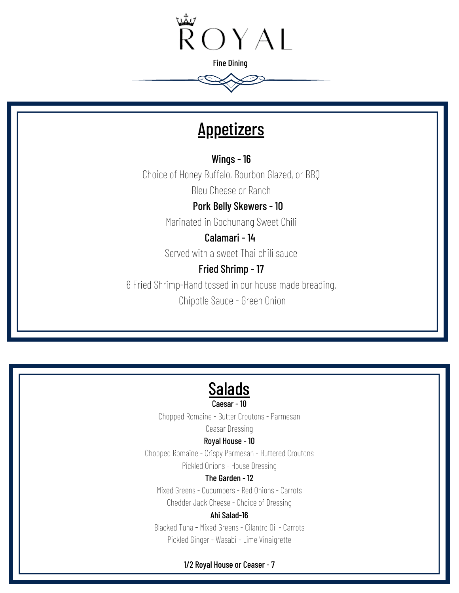

# **Appetizers**

Wings - 16 Choice of Honey Buffalo, Bourbon Glazed, or BBQ

Bleu Cheese or Ranch

 Pork Belly Skewers - 10 Marinated in Gochunang Sweet Chili

Calamari - 14

Served with a sweet Thai chili sauce

## Fried Shrimp - 17

6 Fried Shrimp-Hand tossed in our house made breading.

Chipotle Sauce - Green Onion



Caesar - 10

Chopped Romaine - Butter Croutons - Parmesan

Ceasar Dressing

#### Royal House - 10

Chopped Romaine - Crispy Parmesan - Buttered Croutons Pickled Onions - House Dressing

#### The Garden - 12

Mixed Greens - Cucumbers - Red Onions - Carrots Chedder Jack Cheese - Choice of Dressing

#### Ahi Salad-16

Blacked Tuna - Mixed Greens - Cilantro Oil - Carrots Pickled Ginger - Wasabi - Lime Vinaigrette

#### 1/2 Royal House or Ceaser - 7